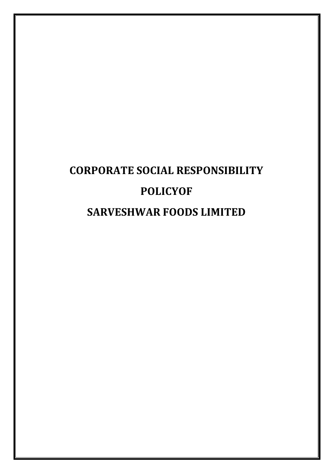# **CORPORATE SOCIAL RESPONSIBILITY POLICYOF SARVESHWAR FOODS LIMITED**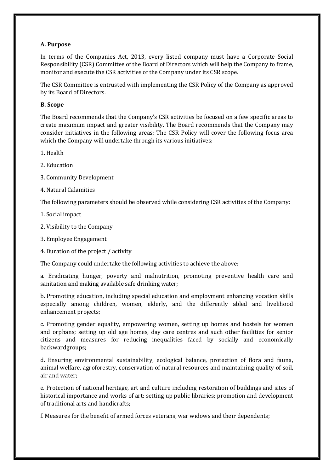## **A. Purpose**

In terms of the Companies Act, 2013, every listed company must have a Corporate Social Responsibility (CSR) Committee of the Board of Directors which will help the Company to frame, monitor and execute the CSR activities of the Company under its CSR scope.

The CSR Committee is entrusted with implementing the CSR Policy of the Company as approved by its Board of Directors.

## **B. Scope**

The Board recommends that the Company's CSR activities be focused on a few specific areas to create maximum impact and greater visibility. The Board recommends that the Company may consider initiatives in the following areas: The CSR Policy will cover the following focus area which the Company will undertake through its various initiatives:

1. Health

2. Education

3. Community Development

4. Natural Calamities

The following parameters should be observed while considering CSR activities of the Company:

1. Social impact

2. Visibility to the Company

3. Employee Engagement

4. Duration of the project / activity

The Company could undertake the following activities to achieve the above:

a. Eradicating hunger, poverty and malnutrition, promoting preventive health care and sanitation and making available safe drinking water;

b. Promoting education, including special education and employment enhancing vocation skills especially among children, women, elderly, and the differently abled and livelihood enhancement projects;

c. Promoting gender equality, empowering women, setting up homes and hostels for women and orphans; setting up old age homes, day care centres and such other facilities for senior citizens and measures for reducing inequalities faced by socially and economically backwardgroups;

d. Ensuring environmental sustainability, ecological balance, protection of flora and fauna, animal welfare, agroforestry, conservation of natural resources and maintaining quality of soil, air and water;

e. Protection of national heritage, art and culture including restoration of buildings and sites of historical importance and works of art; setting up public libraries; promotion and development of traditional arts and handicrafts;

f. Measures for the benefit of armed forces veterans, war widows and their dependents;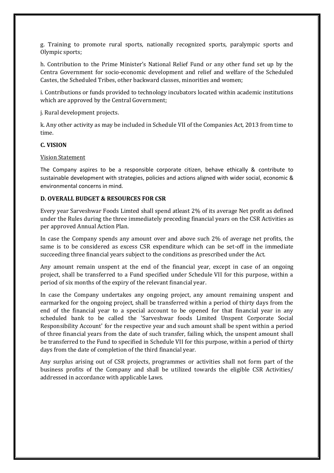g. Training to promote rural sports, nationally recognized sports, paralympic sports and Olympic sports;

h. Contribution to the Prime Minister's National Relief Fund or any other fund set up by the Centra Government for socio-economic development and relief and welfare of the Scheduled Castes, the Scheduled Tribes, other backward classes, minorities and women;

i. Contributions or funds provided to technology incubators located within academic institutions which are approved by the Central Government;

j. Rural development projects.

k. Any other activity as may be included in Schedule VII of the Companies Act, 2013 from time to time.

#### **C. VISION**

#### Vision Statement

The Company aspires to be a responsible corporate citizen, behave ethically & contribute to sustainable development with strategies, policies and actions aligned with wider social, economic & environmental concerns in mind.

#### **D. OVERALL BUDGET & RESOURCES FOR CSR**

Every year Sarveshwar Foods Limted shall spend atleast 2% of its average Net profit as defined under the Rules during the three immediately preceding financial years on the CSR Activities as per approved Annual Action Plan.

In case the Company spends any amount over and above such 2% of average net profits, the same is to be considered as excess CSR expenditure which can be set-off in the immediate succeeding three financial years subject to the conditions as prescribed under the Act.

Any amount remain unspent at the end of the financial year, except in case of an ongoing project, shall be transferred to a Fund specified under Schedule VII for this purpose, within a period of six months of the expiry of the relevant financial year.

In case the Company undertakes any ongoing project, any amount remaining unspent and earmarked for the ongoing project, shall be transferred within a period of thirty days from the end of the financial year to a special account to be opened for that financial year in any scheduled bank to be called the 'Sarveshwar foods Limited Unspent Corporate Social Responsibility Account' for the respective year and such amount shall be spent within a period of three financial years from the date of such transfer, failing which, the unspent amount shall be transferred to the Fund to specified in Schedule VII for this purpose, within a period of thirty days from the date of completion of the third financial year.

Any surplus arising out of CSR projects, programmes or activities shall not form part of the business profits of the Company and shall be utilized towards the eligible CSR Activities/ addressed in accordance with applicable Laws.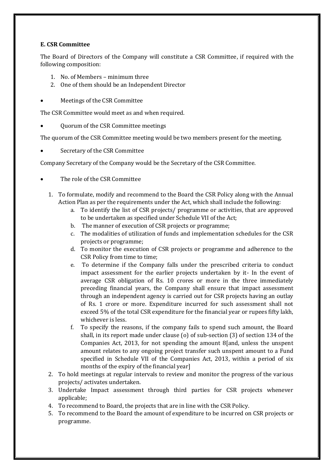## **E. CSR Committee**

The Board of Directors of the Company will constitute a CSR Committee, if required with the following composition:

- 1. No. of Members minimum three
- 2. One of them should be an Independent Director
- Meetings of the CSR Committee

The CSR Committee would meet as and when required.

Quorum of the CSR Committee meetings

The quorum of the CSR Committee meeting would be two members present for the meeting.

Secretary of the CSR Committee

Company Secretary of the Company would be the Secretary of the CSR Committee.

- The role of the CSR Committee
	- 1. To formulate, modify and recommend to the Board the CSR Policy along with the Annual Action Plan as per the requirements under the Act, which shall include the following:
		- a. To identify the list of CSR projects/ programme or activities, that are approved to be undertaken as specified under Schedule VII of the Act;
		- b. The manner of execution of CSR projects or programme;
		- c. The modalities of utilization of funds and implementation schedules for the CSR projects or programme;
		- d. To monitor the execution of CSR projects or programme and adherence to the CSR Policy from time to time;
		- e. To determine if the Company falls under the prescribed criteria to conduct impact assessment for the earlier projects undertaken by it- In the event of average CSR obligation of Rs. 10 crores or more in the three immediately preceding financial years, the Company shall ensure that impact assessment through an independent agency is carried out for CSR projects having an outlay of Rs. 1 crore or more. Expenditure incurred for such assessment shall not exceed 5% of the total CSR expenditure for the financial year or rupees fifty lakh, whichever is less.
		- f. To specify the reasons, if the company fails to spend such amount, the Board shall, in its report made under clause (o) of sub-section (3) of section 134 of the Companies Act, 2013, for not spending the amount 8[and, unless the unspent amount relates to any ongoing project transfer such unspent amount to a Fund specified in Schedule VII of the Companies Act, 2013, within a period of six months of the expiry of the financial year]
	- 2. To hold meetings at regular intervals to review and monitor the progress of the various projects/ activates undertaken.
	- 3. Undertake Impact assessment through third parties for CSR projects whenever applicable;
	- 4. To recommend to Board, the projects that are in line with the CSR Policy.
	- 5. To recommend to the Board the amount of expenditure to be incurred on CSR projects or programme.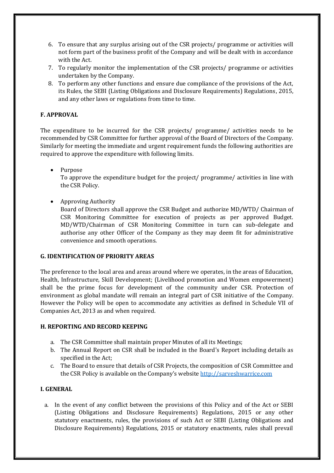- 6. To ensure that any surplus arising out of the CSR projects/ programme or activities will not form part of the business profit of the Company and will be dealt with in accordance with the Act.
- 7. To regularly monitor the implementation of the CSR projects/ programme or activities undertaken by the Company.
- 8. To perform any other functions and ensure due compliance of the provisions of the Act, its Rules, the SEBI (Listing Obligations and Disclosure Requirements) Regulations, 2015, and any other laws or regulations from time to time.

## **F. APPROVAL**

The expenditure to be incurred for the CSR projects/ programme/ activities needs to be recommended by CSR Committee for further approval of the Board of Directors of the Company. Similarly for meeting the immediate and urgent requirement funds the following authorities are required to approve the expenditure with following limits.

• Purpose

To approve the expenditure budget for the project/ programme/ activities in line with the CSR Policy.

• Approving Authority

Board of Directors shall approve the CSR Budget and authorize MD/WTD/ Chairman of CSR Monitoring Committee for execution of projects as per approved Budget. MD/WTD/Chairman of CSR Monitoring Committee in turn can sub-delegate and authorise any other Officer of the Company as they may deem fit for administrative convenience and smooth operations.

## **G. IDENTIFICATION OF PRIORITY AREAS**

The preference to the local area and areas around where we operates, in the areas of Education, Health, Infrastructure, Skill Development; (Livelihood promotion and Women empowerment) shall be the prime focus for development of the community under CSR. Protection of environment as global mandate will remain an integral part of CSR initiative of the Company. However the Policy will be open to accommodate any activities as defined in Schedule VII of Companies Act, 2013 as and when required.

## **H. REPORTING AND RECORD KEEPING**

- a. The CSR Committee shall maintain proper Minutes of all its Meetings;
- b. The Annual Report on CSR shall be included in the Board's Report including details as specified in the Act;
- c. The Board to ensure that details of CSR Projects, the composition of CSR Committee and the CSR Policy is available on the Company's website [http://sarveshwarrice.com](http://sarveshwarrice.com/)

## **I. GENERAL**

a. In the event of any conflict between the provisions of this Policy and of the Act or SEBI (Listing Obligations and Disclosure Requirements) Regulations, 2015 or any other statutory enactments, rules, the provisions of such Act or SEBI (Listing Obligations and Disclosure Requirements) Regulations, 2015 or statutory enactments, rules shall prevail